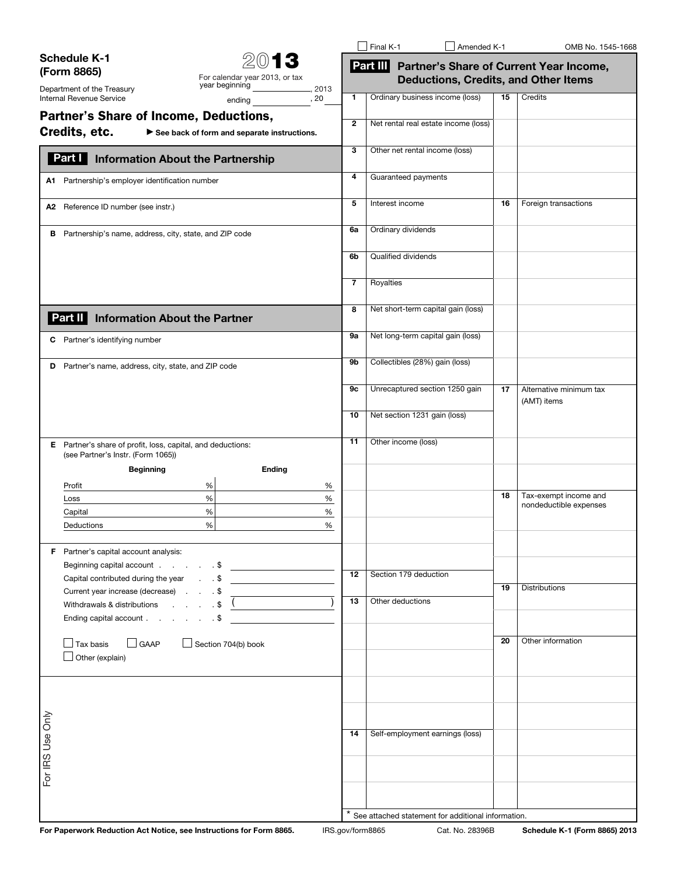|                                                                                                                                             |                 | $\Box$ Final K-1                                                                                | Amended K-1                                        |    | OMB No. 1545-1668                      |  |
|---------------------------------------------------------------------------------------------------------------------------------------------|-----------------|-------------------------------------------------------------------------------------------------|----------------------------------------------------|----|----------------------------------------|--|
| <b>Schedule K-1</b><br>2013<br>(Form 8865)<br>For calendar year 2013, or tax<br>year beginning<br>Department of the Treasury                |                 | Part III Partner's Share of Current Year Income,<br><b>Deductions, Credits, and Other Items</b> |                                                    |    |                                        |  |
| Internal Revenue Service<br>, 20<br>ending                                                                                                  | 1               | Ordinary business income (loss)                                                                 |                                                    | 15 | Credits                                |  |
| <b>Partner's Share of Income, Deductions,</b><br>Credits, etc.<br>$\blacktriangleright$ See back of form and separate instructions.         | $\mathbf{2}$    |                                                                                                 | Net rental real estate income (loss)               |    |                                        |  |
| Part I<br><b>Information About the Partnership</b>                                                                                          | 3               | Other net rental income (loss)                                                                  |                                                    |    |                                        |  |
| A1 Partnership's employer identification number                                                                                             | 4               | Guaranteed payments                                                                             |                                                    |    |                                        |  |
| A2 Reference ID number (see instr.)                                                                                                         | 5               | Interest income                                                                                 |                                                    | 16 | Foreign transactions                   |  |
| Partnership's name, address, city, state, and ZIP code<br>в                                                                                 | 6a              | Ordinary dividends                                                                              |                                                    |    |                                        |  |
|                                                                                                                                             | 6b              | Qualified dividends                                                                             |                                                    |    |                                        |  |
|                                                                                                                                             | 7               | Royalties                                                                                       |                                                    |    |                                        |  |
| <b>Information About the Partner</b><br>Part II                                                                                             | 8               |                                                                                                 | Net short-term capital gain (loss)                 |    |                                        |  |
| Partner's identifying number<br>C                                                                                                           | 9а              | Net long-term capital gain (loss)                                                               |                                                    |    |                                        |  |
| Partner's name, address, city, state, and ZIP code<br>D                                                                                     | 9b              | Collectibles (28%) gain (loss)                                                                  |                                                    |    |                                        |  |
|                                                                                                                                             | 9с              |                                                                                                 | Unrecaptured section 1250 gain                     | 17 | Alternative minimum tax<br>(AMT) items |  |
|                                                                                                                                             | 10              | Net section 1231 gain (loss)                                                                    |                                                    |    |                                        |  |
| E Partner's share of profit, loss, capital, and deductions:<br>(see Partner's Instr. (Form 1065))                                           | 11              | Other income (loss)                                                                             |                                                    |    |                                        |  |
| <b>Beginning</b><br>Ending                                                                                                                  |                 |                                                                                                 |                                                    |    |                                        |  |
| Profit<br>%<br>%                                                                                                                            |                 |                                                                                                 |                                                    | 18 | Tax-exempt income and                  |  |
| $\%$<br>$\%$<br>Loss<br>$\%$<br>$\%$<br>Capital                                                                                             |                 |                                                                                                 |                                                    |    | nondeductible expenses                 |  |
| $\%$<br>Deductions<br>%                                                                                                                     |                 |                                                                                                 |                                                    |    |                                        |  |
| <b>F</b> Partner's capital account analysis:                                                                                                |                 |                                                                                                 |                                                    |    |                                        |  |
|                                                                                                                                             | $\overline{12}$ | Section 179 deduction                                                                           |                                                    |    |                                        |  |
| Current year increase (decrease) \$                                                                                                         |                 |                                                                                                 |                                                    | 19 | Distributions                          |  |
| $\begin{array}{ccc} . & . & . & . \end{array}$<br>Withdrawals & distributions<br>Ending capital account \$                                  | $\overline{13}$ | Other deductions                                                                                |                                                    |    |                                        |  |
|                                                                                                                                             |                 |                                                                                                 |                                                    |    | Other information                      |  |
| $\Box$ GAAP<br>$\Box$ Section 704(b) book<br>Tax basis<br>Other (explain)                                                                   |                 |                                                                                                 |                                                    | 20 |                                        |  |
|                                                                                                                                             |                 |                                                                                                 |                                                    |    |                                        |  |
|                                                                                                                                             |                 |                                                                                                 |                                                    |    |                                        |  |
| For IRS Use Only                                                                                                                            | 14              |                                                                                                 | Self-employment earnings (loss)                    |    |                                        |  |
|                                                                                                                                             |                 |                                                                                                 |                                                    |    |                                        |  |
|                                                                                                                                             |                 |                                                                                                 |                                                    |    |                                        |  |
|                                                                                                                                             |                 |                                                                                                 | See attached statement for additional information. |    |                                        |  |
| For Paperwork Reduction Act Notice, see Instructions for Form 8865.<br>IRS.gov/form8865<br>Cat. No. 28396B<br>Schedule K-1 (Form 8865) 2013 |                 |                                                                                                 |                                                    |    |                                        |  |